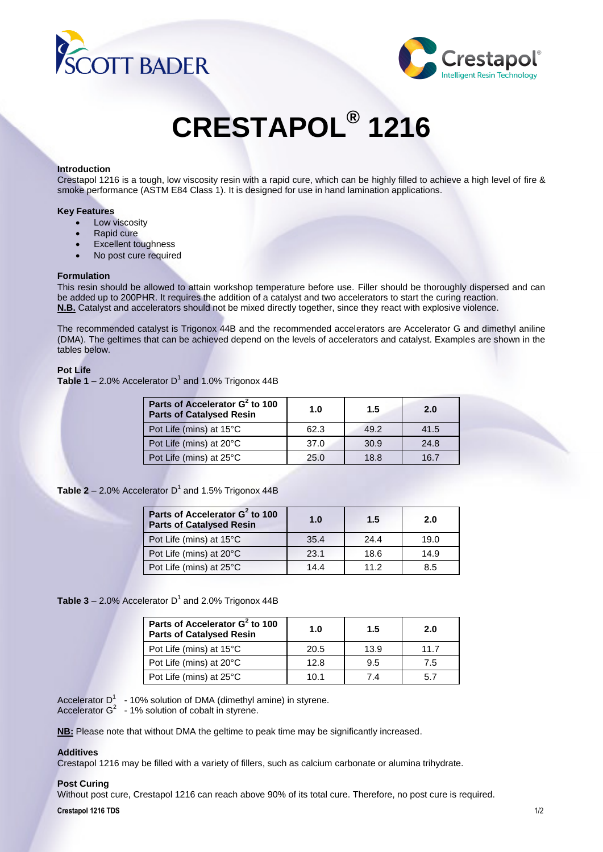



# **CRESTAPOL® 1216**

## **Introduction**

Crestapol 1216 is a tough, low viscosity resin with a rapid cure, which can be highly filled to achieve a high level of fire & smoke performance (ASTM E84 Class 1). It is designed for use in hand lamination applications.

## **Key Features**

- Low viscosity
- Rapid cure
- Excellent toughness
- No post cure required

## **Formulation**

This resin should be allowed to attain workshop temperature before use. Filler should be thoroughly dispersed and can be added up to 200PHR. It requires the addition of a catalyst and two accelerators to start the curing reaction. **N.B.** Catalyst and accelerators should not be mixed directly together, since they react with explosive violence.

The recommended catalyst is Trigonox 44B and the recommended accelerators are Accelerator G and dimethyl aniline (DMA). The geltimes that can be achieved depend on the levels of accelerators and catalyst. Examples are shown in the tables below.

# **Pot Life**

**Table 1** – 2.0% Accelerator  $D<sup>1</sup>$  and 1.0% Trigonox 44B

| Parts of Accelerator G <sup>2</sup> to 100<br><b>Parts of Catalysed Resin</b> | 1.0  | 1.5  | 2.0  |
|-------------------------------------------------------------------------------|------|------|------|
| Pot Life (mins) at 15°C                                                       | 62.3 | 49.2 | 41.5 |
| Pot Life (mins) at 20°C                                                       | 37.0 | 30.9 | 24.8 |
| Pot Life (mins) at 25°C                                                       | 25.0 | 18.8 | 16.7 |

# Table 2 - 2.0% Accelerator D<sup>1</sup> and 1.5% Trigonox 44B

| Parts of Accelerator G <sup>2</sup> to 100<br><b>Parts of Catalysed Resin</b> | 1.0  | 1.5  | 2.0  |
|-------------------------------------------------------------------------------|------|------|------|
| Pot Life (mins) at 15°C                                                       | 35.4 | 24.4 | 19.0 |
| Pot Life (mins) at 20°C                                                       | 23.1 | 18.6 | 14.9 |
| Pot Life (mins) at 25°C                                                       | 14.4 | 11.2 | 8.5  |

**Table 3** – 2.0% Accelerator  $D<sup>1</sup>$  and 2.0% Trigonox 44B

| Parts of Accelerator G <sup>2</sup> to 100<br><b>Parts of Catalysed Resin</b> | 1.0  | 1.5  | 2.0  |
|-------------------------------------------------------------------------------|------|------|------|
| Pot Life (mins) at 15°C                                                       | 20.5 | 13.9 | 11.7 |
| Pot Life (mins) at 20°C                                                       | 12.8 | 9.5  | 7.5  |
| Pot Life (mins) at 25°C                                                       | 10.1 | 74   | 57   |

Accelerator  $D^1 \rightarrow 10\%$  solution of DMA (dimethyl amine) in styrene.

Accelerator  $G^2$  - 1% solution of cobalt in styrene.

**NB:** Please note that without DMA the geltime to peak time may be significantly increased.

# **Additives**

Crestapol 1216 may be filled with a variety of fillers, such as calcium carbonate or alumina trihydrate.

# **Post Curing**

Without post cure, Crestapol 1216 can reach above 90% of its total cure. Therefore, no post cure is required.

#### **Crestapol 1216 TDS** 1/2